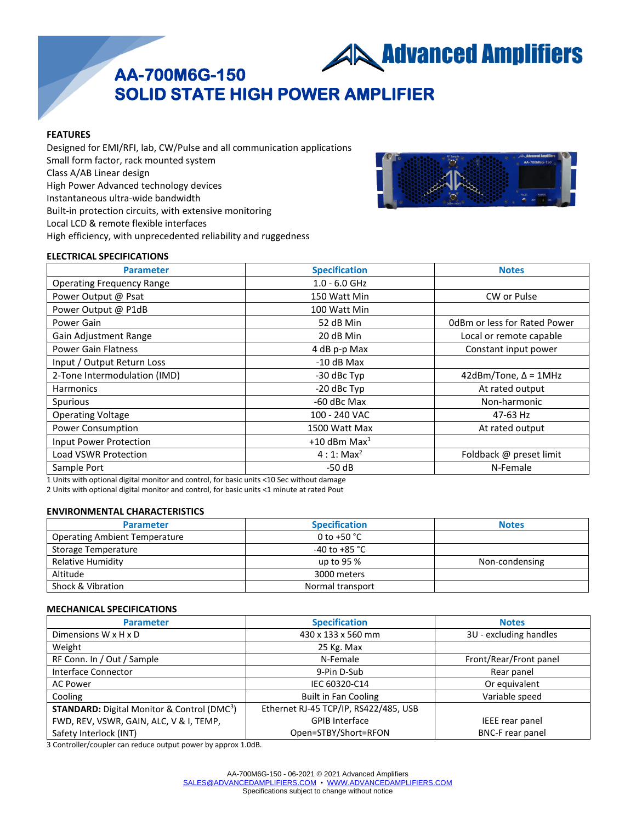**AN Advanced Amplifiers** 

# **AA-700M6G-150 SOLID STATE HIGH POWER AMPLIFIER**

#### **FEATURES**

Designed for EMI/RFI, lab, CW/Pulse and all communication applications Small form factor, rack mounted system Class A/AB Linear design High Power Advanced technology devices Instantaneous ultra-wide bandwidth Built-in protection circuits, with extensive monitoring Local LCD & remote flexible interfaces High efficiency, with unprecedented reliability and ruggedness



### **ELECTRICAL SPECIFICATIONS**

| <b>Parameter</b>                 | <b>Specification</b> | <b>Notes</b>                 |
|----------------------------------|----------------------|------------------------------|
| <b>Operating Frequency Range</b> | $1.0 - 6.0$ GHz      |                              |
| Power Output @ Psat              | 150 Watt Min         | CW or Pulse                  |
| Power Output @ P1dB              | 100 Watt Min         |                              |
| Power Gain                       | 52 dB Min            | OdBm or less for Rated Power |
| Gain Adjustment Range            | 20 dB Min            | Local or remote capable      |
| <b>Power Gain Flatness</b>       | 4 dB p-p Max         | Constant input power         |
| Input / Output Return Loss       | $-10$ dB Max         |                              |
| 2-Tone Intermodulation (IMD)     | -30 dBc Typ          | 42dBm/Tone, $\Delta$ = 1MHz  |
| <b>Harmonics</b>                 | -20 dBc Typ          | At rated output              |
| Spurious                         | -60 dBc Max          | Non-harmonic                 |
| <b>Operating Voltage</b>         | 100 - 240 VAC        | 47-63 Hz                     |
| Power Consumption                | 1500 Watt Max        | At rated output              |
| Input Power Protection           | +10 dBm Max $1$      |                              |
| Load VSWR Protection             | $4:1:Max^2$          | Foldback @ preset limit      |
| Sample Port                      | $-50dB$              | N-Female                     |

1 Units with optional digital monitor and control, for basic units <10 Sec without damage

2 Units with optional digital monitor and control, for basic units <1 minute at rated Pout

## **ENVIRONMENTAL CHARACTERISTICS**

| <b>Parameter</b>                     | <b>Specification</b>    | <b>Notes</b>   |
|--------------------------------------|-------------------------|----------------|
| <b>Operating Ambient Temperature</b> | 0 to +50 $^{\circ}$ C   |                |
| Storage Temperature                  | -40 to +85 $^{\circ}$ C |                |
| Relative Humidity                    | up to 95 %              | Non-condensing |
| Altitude                             | 3000 meters             |                |
| Shock & Vibration                    | Normal transport        |                |

#### **MECHANICAL SPECIFICATIONS**

| <b>Parameter</b>                                               | <b>Specification</b>                  | <b>Notes</b>            |
|----------------------------------------------------------------|---------------------------------------|-------------------------|
| Dimensions W x H x D                                           | 430 x 133 x 560 mm                    | 3U - excluding handles  |
| Weight                                                         | 25 Kg. Max                            |                         |
| RF Conn. In / Out / Sample                                     | N-Female                              | Front/Rear/Front panel  |
| Interface Connector                                            | 9-Pin D-Sub                           | Rear panel              |
| <b>AC Power</b>                                                | IEC 60320-C14                         | Or equivalent           |
| Cooling                                                        | <b>Built in Fan Cooling</b>           | Variable speed          |
| <b>STANDARD:</b> Digital Monitor & Control (DMC <sup>3</sup> ) | Ethernet RJ-45 TCP/IP, RS422/485, USB |                         |
| FWD, REV, VSWR, GAIN, ALC, V & I, TEMP,                        | <b>GPIB Interface</b>                 | IEEE rear panel         |
| Safety Interlock (INT)                                         | Open=STBY/Short=RFON                  | <b>BNC-F</b> rear panel |

3 Controller/coupler can reduce output power by approx 1.0dB.